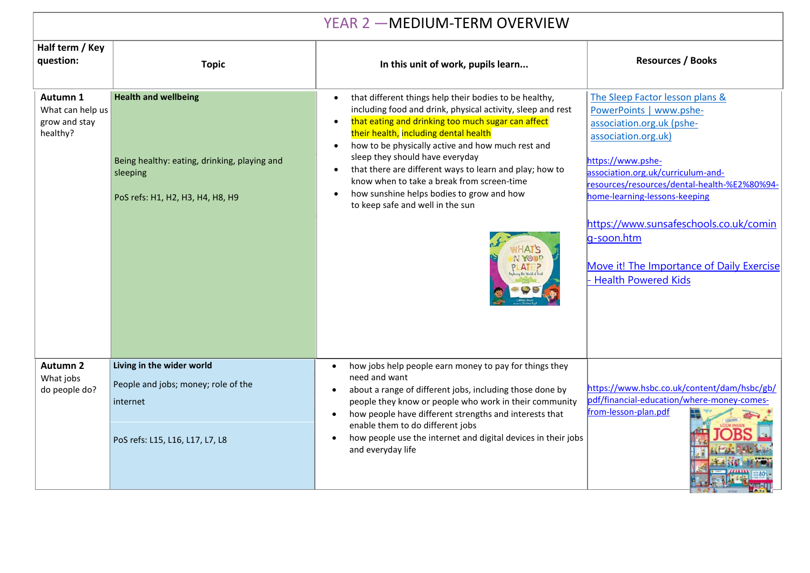| YEAR 2 - MEDIUM-TERM OVERVIEW                             |                                                                                                                             |                                                                                                                                                                                                                                                                                                                                                                                                                                                                                                                                                                         |                                                                                                                                                                                                                                                                                                                                                                                               |  |  |
|-----------------------------------------------------------|-----------------------------------------------------------------------------------------------------------------------------|-------------------------------------------------------------------------------------------------------------------------------------------------------------------------------------------------------------------------------------------------------------------------------------------------------------------------------------------------------------------------------------------------------------------------------------------------------------------------------------------------------------------------------------------------------------------------|-----------------------------------------------------------------------------------------------------------------------------------------------------------------------------------------------------------------------------------------------------------------------------------------------------------------------------------------------------------------------------------------------|--|--|
| Half term / Key<br>question:                              | <b>Topic</b>                                                                                                                | In this unit of work, pupils learn                                                                                                                                                                                                                                                                                                                                                                                                                                                                                                                                      | <b>Resources / Books</b>                                                                                                                                                                                                                                                                                                                                                                      |  |  |
| Autumn 1<br>What can help us<br>grow and stay<br>healthy? | <b>Health and wellbeing</b><br>Being healthy: eating, drinking, playing and<br>sleeping<br>PoS refs: H1, H2, H3, H4, H8, H9 | that different things help their bodies to be healthy,<br>$\bullet$<br>including food and drink, physical activity, sleep and rest<br>that eating and drinking too much sugar can affect<br>$\bullet$<br>their health, including dental health<br>how to be physically active and how much rest and<br>$\bullet$<br>sleep they should have everyday<br>that there are different ways to learn and play; how to<br>$\bullet$<br>know when to take a break from screen-time<br>how sunshine helps bodies to grow and how<br>$\bullet$<br>to keep safe and well in the sun | The Sleep Factor lesson plans &<br>PowerPoints   www.pshe-<br>association.org.uk (pshe-<br>association.org.uk)<br>https://www.pshe-<br>association.org.uk/curriculum-and-<br>resources/resources/dental-health-%E2%80%94-<br>home-learning-lessons-keeping<br>https://www.sunsafeschools.co.uk/comin<br>g-soon.htm<br>Move it! The Importance of Daily Exercise<br><b>Health Powered Kids</b> |  |  |
| <b>Autumn 2</b><br>What jobs<br>do people do?             | Living in the wider world<br>People and jobs; money; role of the<br>internet<br>PoS refs: L15, L16, L17, L7, L8             | how jobs help people earn money to pay for things they<br>need and want<br>about a range of different jobs, including those done by<br>people they know or people who work in their community<br>how people have different strengths and interests that<br>enable them to do different jobs<br>how people use the internet and digital devices in their jobs<br>and everyday life                                                                                                                                                                                       | https://www.hsbc.co.uk/content/dam/hsbc/gb/<br>pdf/financial-education/where-money-comes-<br>from-lesson-plan.pdf                                                                                                                                                                                                                                                                             |  |  |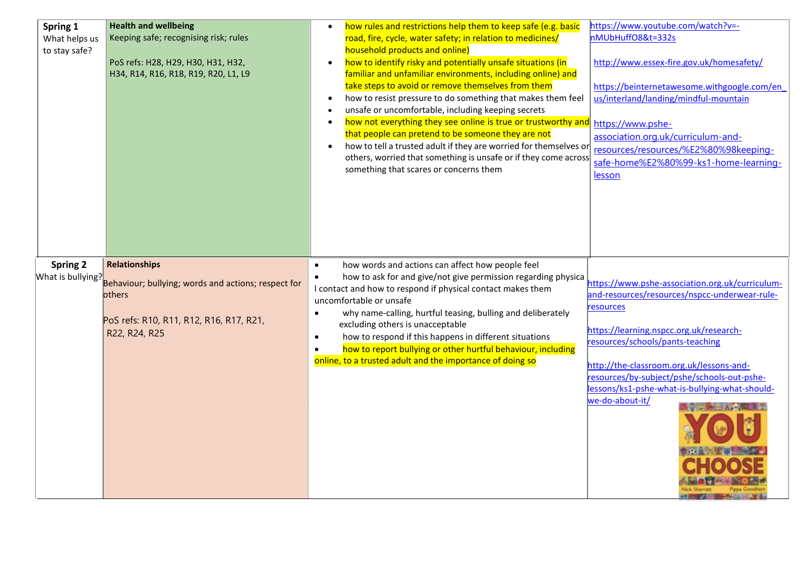| Spring 1<br>What helps us<br>to stay safe? | <b>Health and wellbeing</b><br>Keeping safe; recognising risk; rules<br>PoS refs: H28, H29, H30, H31, H32,<br>H34, R14, R16, R18, R19, R20, L1, L9 | how rules and restrictions help them to keep safe (e.g. basic<br>road, fire, cycle, water safety; in relation to medicines/<br>household products and online)<br>how to identify risky and potentially unsafe situations (in<br>$\bullet$<br>familiar and unfamiliar environments, including online) and<br>take steps to avoid or remove themselves from them<br>how to resist pressure to do something that makes them feel<br>unsafe or uncomfortable, including keeping secrets<br>how not everything they see online is true or trustworthy and<br>that people can pretend to be someone they are not<br>how to tell a trusted adult if they are worried for themselves or<br>others, worried that something is unsafe or if they come across<br>something that scares or concerns them | https://www.youtube.com/watch?v=-<br>nMUbHuffO8&t=332s<br>http://www.essex-fire.gov.uk/homesafety/<br>https://beinternetawesome.withgoogle.com/en<br>us/interland/landing/mindful-mountain<br>https://www.pshe-<br>association.org.uk/curriculum-and-<br>resources/resources/%E2%80%98keeping-<br>safe-home%E2%80%99-ks1-home-learning-<br>lesson                                          |
|--------------------------------------------|----------------------------------------------------------------------------------------------------------------------------------------------------|----------------------------------------------------------------------------------------------------------------------------------------------------------------------------------------------------------------------------------------------------------------------------------------------------------------------------------------------------------------------------------------------------------------------------------------------------------------------------------------------------------------------------------------------------------------------------------------------------------------------------------------------------------------------------------------------------------------------------------------------------------------------------------------------|--------------------------------------------------------------------------------------------------------------------------------------------------------------------------------------------------------------------------------------------------------------------------------------------------------------------------------------------------------------------------------------------|
| <b>Spring 2</b><br>What is bullying?       | <b>Relationships</b><br>Behaviour; bullying; words and actions; respect for<br>others<br>PoS refs: R10, R11, R12, R16, R17, R21,<br>R22, R24, R25  | how words and actions can affect how people feel<br>$\bullet$<br>how to ask for and give/not give permission regarding physica<br>$\bullet$<br>I contact and how to respond if physical contact makes them<br>uncomfortable or unsafe<br>why name-calling, hurtful teasing, bulling and deliberately<br>$\bullet$<br>excluding others is unacceptable<br>how to respond if this happens in different situations<br>$\bullet$<br>how to report bullying or other hurtful behaviour, including<br>$\bullet$<br>online, to a trusted adult and the importance of doing so                                                                                                                                                                                                                       | https://www.pshe-association.org.uk/curriculum-<br>and-resources/resources/nspcc-underwear-rule-<br>resources<br>https://learning.nspcc.org.uk/research-<br>resources/schools/pants-teaching<br>http://the-classroom.org.uk/lessons-and-<br>resources/by-subject/pshe/schools-out-pshe-<br>lessons/ks1-pshe-what-is-bullying-what-should-<br>we-do-about-it/<br><b>Security of the AME</b> |